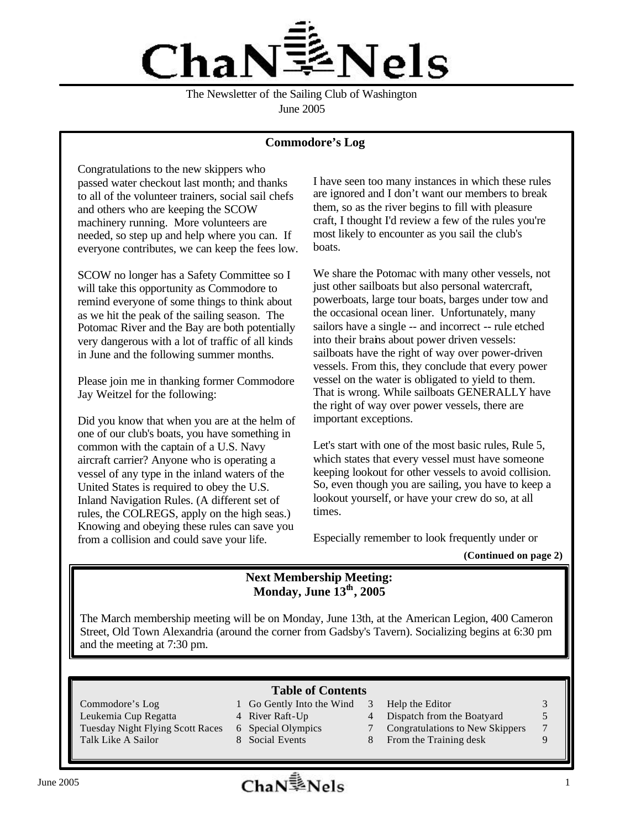

The Newsletter of the Sailing Club of Washington June 2005

#### **Commodore's Log**

Congratulations to the new skippers who passed water checkout last month; and thanks to all of the volunteer trainers, social sail chefs and others who are keeping the SCOW machinery running. More volunteers are needed, so step up and help where you can. If everyone contributes, we can keep the fees low.

SCOW no longer has a Safety Committee so I will take this opportunity as Commodore to remind everyone of some things to think about as we hit the peak of the sailing season. The Potomac River and the Bay are both potentially very dangerous with a lot of traffic of all kinds in June and the following summer months.

Please join me in thanking former Commodore Jay Weitzel for the following:

Did you know that when you are at the helm of one of our club's boats, you have something in common with the captain of a U.S. Navy aircraft carrier? Anyone who is operating a vessel of any type in the inland waters of the United States is required to obey the U.S. Inland Navigation Rules. (A different set of rules, the COLREGS, apply on the high seas.) Knowing and obeying these rules can save you from a collision and could save your life.

I have seen too many instances in which these rules are ignored and I don't want our members to break them, so as the river begins to fill with pleasure craft, I thought I'd review a few of the rules you're most likely to encounter as you sail the club's boats.

We share the Potomac with many other vessels, not just other sailboats but also personal watercraft, powerboats, large tour boats, barges under tow and the occasional ocean liner. Unfortunately, many sailors have a single -- and incorrect -- rule etched into their brains about power driven vessels: sailboats have the right of way over power-driven vessels. From this, they conclude that every power vessel on the water is obligated to yield to them. That is wrong. While sailboats GENERALLY have the right of way over power vessels, there are important exceptions.

Let's start with one of the most basic rules, Rule 5, which states that every vessel must have someone keeping lookout for other vessels to avoid collision. So, even though you are sailing, you have to keep a lookout yourself, or have your crew do so, at all times.

Especially remember to look frequently under or

**(Continued on page 2)**

## **Next Membership Meeting: Monday, June 13th, 2005**

The March membership meeting will be on Monday, June 13th, at the American Legion, 400 Cameron Street, Old Town Alexandria (around the corner from Gadsby's Tavern). Socializing begins at 6:30 pm and the meeting at 7:30 pm.

#### **Table of Contents**

- Commodore's Log 1 Go Gently Into the Wind 3 Help the Editor 3 3
	-
	-
- Leukemia Cup Regatta  $\frac{4 \text{ River} \text{Raft-Up}}{4 \text{Dispatch from the Bodyard}}$  5
	-
	-
- 
- 
- Tuesday Night Flying Scott Races 6 Special Olympics 7 Congratulations to New Skippers 7
- Talk Like A Sailor 8 Social Events 8 From the Training desk 9

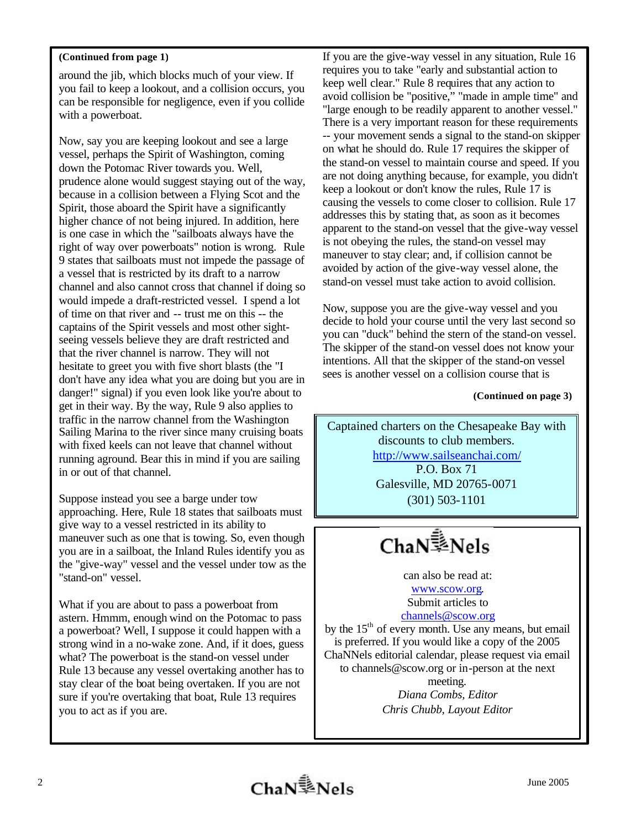#### **(Continued from page 1)**

around the jib, which blocks much of your view. If you fail to keep a lookout, and a collision occurs, you can be responsible for negligence, even if you collide with a powerboat.

Now, say you are keeping lookout and see a large vessel, perhaps the Spirit of Washington, coming down the Potomac River towards you. Well, prudence alone would suggest staying out of the way, because in a collision between a Flying Scot and the Spirit, those aboard the Spirit have a significantly higher chance of not being injured. In addition, here is one case in which the "sailboats always have the right of way over powerboats" notion is wrong. Rule 9 states that sailboats must not impede the passage of a vessel that is restricted by its draft to a narrow channel and also cannot cross that channel if doing so would impede a draft-restricted vessel. I spend a lot of time on that river and -- trust me on this -- the captains of the Spirit vessels and most other sightseeing vessels believe they are draft restricted and that the river channel is narrow. They will not hesitate to greet you with five short blasts (the "I don't have any idea what you are doing but you are in danger!" signal) if you even look like you're about to get in their way. By the way, Rule 9 also applies to traffic in the narrow channel from the Washington Sailing Marina to the river since many cruising boats with fixed keels can not leave that channel without running aground. Bear this in mind if you are sailing in or out of that channel.

Suppose instead you see a barge under tow approaching. Here, Rule 18 states that sailboats must give way to a vessel restricted in its ability to maneuver such as one that is towing. So, even though you are in a sailboat, the Inland Rules identify you as the "give-way" vessel and the vessel under tow as the "stand-on" vessel.

What if you are about to pass a powerboat from astern. Hmmm, enough wind on the Potomac to pass a powerboat? Well, I suppose it could happen with a strong wind in a no-wake zone. And, if it does, guess what? The powerboat is the stand-on vessel under Rule 13 because any vessel overtaking another has to stay clear of the boat being overtaken. If you are not sure if you're overtaking that boat, Rule 13 requires you to act as if you are.

If you are the give-way vessel in any situation, Rule 16 requires you to take "early and substantial action to keep well clear." Rule 8 requires that any action to avoid collision be "positive," "made in ample time" and "large enough to be readily apparent to another vessel." There is a very important reason for these requirements -- your movement sends a signal to the stand-on skipper on what he should do. Rule 17 requires the skipper of the stand-on vessel to maintain course and speed. If you are not doing anything because, for example, you didn't keep a lookout or don't know the rules, Rule 17 is causing the vessels to come closer to collision. Rule 17 addresses this by stating that, as soon as it becomes apparent to the stand-on vessel that the give-way vessel is not obeying the rules, the stand-on vessel may maneuver to stay clear; and, if collision cannot be avoided by action of the give-way vessel alone, the stand-on vessel must take action to avoid collision.

Now, suppose you are the give-way vessel and you decide to hold your course until the very last second so you can "duck" behind the stern of the stand-on vessel. The skipper of the stand-on vessel does not know your intentions. All that the skipper of the stand-on vessel sees is another vessel on a collision course that is

**(Continued on page 3)**

Captained charters on the Chesapeake Bay with discounts to club members. http://www.sailseanchai.com/ P.O. Box 71 Galesville, MD 20765-0071 (301) 503-1101

ChaN<sup>1</sup>>Nels

can also be read at: www.scow.org. Submit articles to channels@scow.org

by the  $15<sup>th</sup>$  of every month. Use any means, but email is preferred. If you would like a copy of the 2005 ChaNNels editorial calendar, please request via email to channels@scow.org or in-person at the next meeting. *Diana Combs, Editor Chris Chubb, Layout Editor*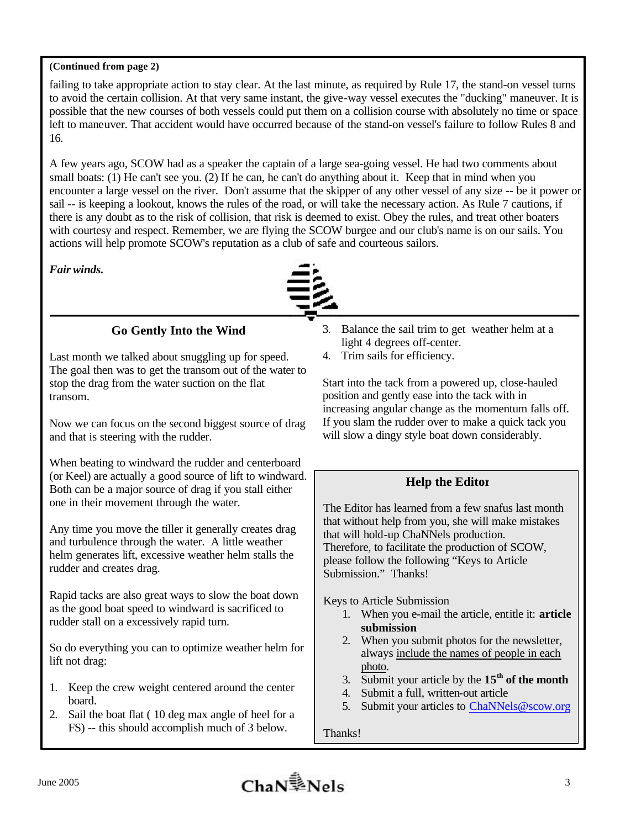### **(Continued from page 2)**

failing to take appropriate action to stay clear. At the last minute, as required by Rule 17, the stand-on vessel turns to avoid the certain collision. At that very same instant, the give-way vessel executes the "ducking" maneuver. It is possible that the new courses of both vessels could put them on a collision course with absolutely no time or space left to maneuver. That accident would have occurred because of the stand-on vessel's failure to follow Rules 8 and 16.

A few years ago, SCOW had as a speaker the captain of a large sea-going vessel. He had two comments about small boats: (1) He can't see you. (2) If he can, he can't do anything about it. Keep that in mind when you encounter a large vessel on the river. Don't assume that the skipper of any other vessel of any size -- be it power or sail -- is keeping a lookout, knows the rules of the road, or will take the necessary action. As Rule 7 cautions, if there is any doubt as to the risk of collision, that risk is deemed to exist. Obey the rules, and treat other boaters with courtesy and respect. Remember, we are flying the SCOW burgee and our club's name is on our sails. You actions will help promote SCOW's reputation as a club of safe and courteous sailors.

#### *Fair winds.*



# **Go Gently Into the Wind**

Last month we talked about snuggling up for speed. The goal then was to get the transom out of the water to stop the drag from the water suction on the flat transom.

Now we can focus on the second biggest source of drag and that is steering with the rudder.

When beating to windward the rudder and centerboard (or Keel) are actually a good source of lift to windward. Both can be a major source of drag if you stall either one in their movement through the water.

Any time you move the tiller it generally creates drag and turbulence through the water. A little weather helm generates lift, excessive weather helm stalls the rudder and creates drag.

Rapid tacks are also great ways to slow the boat down as the good boat speed to windward is sacrificed to rudder stall on a excessively rapid turn.

So do everything you can to optimize weather helm for lift not drag:

- 1. Keep the crew weight centered around the center board.
- 2. Sail the boat flat ( 10 deg max angle of heel for a FS) -- this should accomplish much of 3 below.
- 3. Balance the sail trim to get weather helm at a light 4 degrees off-center.
- 4. Trim sails for efficiency.

Start into the tack from a powered up, close-hauled position and gently ease into the tack with in increasing angular change as the momentum falls off. If you slam the rudder over to make a quick tack you will slow a dingy style boat down considerably.

# **Help the Editor**

The Editor has learned from a few snafus last month that without help from you, she will make mistakes that will hold-up ChaNNels production. Therefore, to facilitate the production of SCOW, please follow the following "Keys to Article Submission." Thanks!

Keys to Article Submission

- 1. When you e-mail the article, entitle it: **article submission**
- 2. When you submit photos for the newsletter, always include the names of people in each photo.
- 3. Submit your article by the  $15<sup>th</sup>$  of the month
- 4. Submit a full, written-out article
- 5. Submit your articles to ChaNNels@scow.org

Thanks!

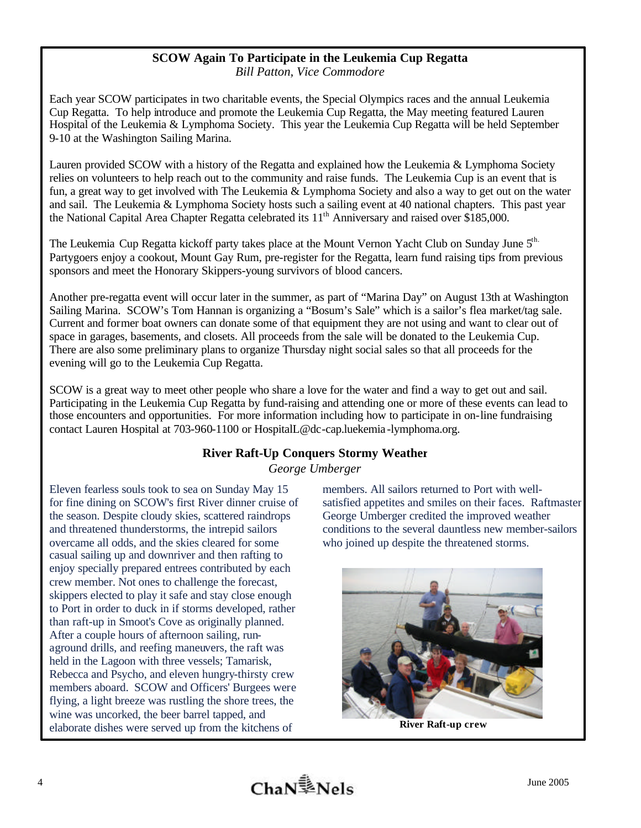#### **SCOW Again To Participate in the Leukemia Cup Regatta** *Bill Patton, Vice Commodore*

Each year SCOW participates in two charitable events, the Special Olympics races and the annual Leukemia Cup Regatta. To help introduce and promote the Leukemia Cup Regatta, the May meeting featured Lauren Hospital of the Leukemia & Lymphoma Society. This year the Leukemia Cup Regatta will be held September 9-10 at the Washington Sailing Marina.

Lauren provided SCOW with a history of the Regatta and explained how the Leukemia & Lymphoma Society relies on volunteers to help reach out to the community and raise funds. The Leukemia Cup is an event that is fun, a great way to get involved with The Leukemia & Lymphoma Society and also a way to get out on the water and sail. The Leukemia & Lymphoma Society hosts such a sailing event at 40 national chapters. This past year the National Capital Area Chapter Regatta celebrated its  $11<sup>th</sup>$  Anniversary and raised over \$185,000.

The Leukemia Cup Regatta kickoff party takes place at the Mount Vernon Yacht Club on Sunday June 5<sup>th.</sup> Partygoers enjoy a cookout, Mount Gay Rum, pre-register for the Regatta, learn fund raising tips from previous sponsors and meet the Honorary Skippers-young survivors of blood cancers.

Another pre-regatta event will occur later in the summer, as part of "Marina Day" on August 13th at Washington Sailing Marina. SCOW's Tom Hannan is organizing a "Bosum's Sale" which is a sailor's flea market/tag sale. Current and former boat owners can donate some of that equipment they are not using and want to clear out of space in garages, basements, and closets. All proceeds from the sale will be donated to the Leukemia Cup. There are also some preliminary plans to organize Thursday night social sales so that all proceeds for the evening will go to the Leukemia Cup Regatta.

SCOW is a great way to meet other people who share a love for the water and find a way to get out and sail. Participating in the Leukemia Cup Regatta by fund-raising and attending one or more of these events can lead to those encounters and opportunities. For more information including how to participate in on-line fundraising contact Lauren Hospital at 703-960-1100 or HospitalL@dc-cap.luekemia -lymphoma.org.

# **River Raft-Up Conquers Stormy Weather**

*George Umberger*

Eleven fearless souls took to sea on Sunday May 15 for fine dining on SCOW's first River dinner cruise of the season. Despite cloudy skies, scattered raindrops and threatened thunderstorms, the intrepid sailors overcame all odds, and the skies cleared for some casual sailing up and downriver and then rafting to enjoy specially prepared entrees contributed by each crew member. Not ones to challenge the forecast, skippers elected to play it safe and stay close enough to Port in order to duck in if storms developed, rather than raft-up in Smoot's Cove as originally planned. After a couple hours of afternoon sailing, runaground drills, and reefing maneuvers, the raft was held in the Lagoon with three vessels; Tamarisk, Rebecca and Psycho, and eleven hungry-thirsty crew members aboard. SCOW and Officers' Burgees were flying, a light breeze was rustling the shore trees, the wine was uncorked, the beer barrel tapped, and elaborate dishes were served up from the kitchens of

members. All sailors returned to Port with wellsatisfied appetites and smiles on their faces. Raftmaster George Umberger credited the improved weather conditions to the several dauntless new member-sailors who joined up despite the threatened storms.



**River Raft-up crew**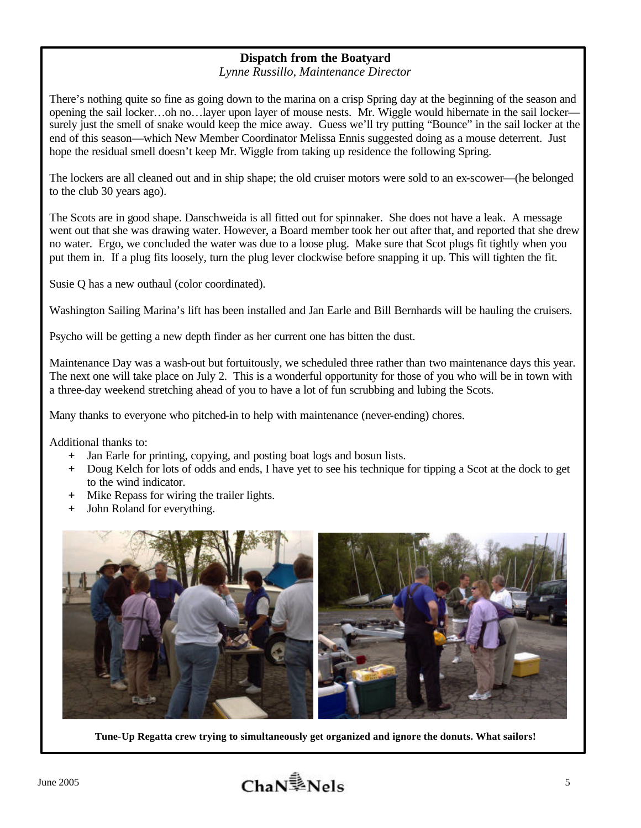# **Dispatch from the Boatyard**

*Lynne Russillo, Maintenance Director*

There's nothing quite so fine as going down to the marina on a crisp Spring day at the beginning of the season and opening the sail locker…oh no…layer upon layer of mouse nests. Mr. Wiggle would hibernate in the sail locker surely just the smell of snake would keep the mice away. Guess we'll try putting "Bounce" in the sail locker at the end of this season—which New Member Coordinator Melissa Ennis suggested doing as a mouse deterrent. Just hope the residual smell doesn't keep Mr. Wiggle from taking up residence the following Spring.

The lockers are all cleaned out and in ship shape; the old cruiser motors were sold to an ex-scower—(he belonged to the club 30 years ago).

The Scots are in good shape. Danschweida is all fitted out for spinnaker. She does not have a leak. A message went out that she was drawing water. However, a Board member took her out after that, and reported that she drew no water. Ergo, we concluded the water was due to a loose plug. Make sure that Scot plugs fit tightly when you put them in. If a plug fits loosely, turn the plug lever clockwise before snapping it up. This will tighten the fit.

Susie Q has a new outhaul (color coordinated).

Washington Sailing Marina's lift has been installed and Jan Earle and Bill Bernhards will be hauling the cruisers.

Psycho will be getting a new depth finder as her current one has bitten the dust.

Maintenance Day was a wash-out but fortuitously, we scheduled three rather than two maintenance days this year. The next one will take place on July 2. This is a wonderful opportunity for those of you who will be in town with a three-day weekend stretching ahead of you to have a lot of fun scrubbing and lubing the Scots.

Many thanks to everyone who pitched-in to help with maintenance (never-ending) chores.

Additional thanks to:

- **+** Jan Earle for printing, copying, and posting boat logs and bosun lists.
- **+** Doug Kelch for lots of odds and ends, I have yet to see his technique for tipping a Scot at the dock to get to the wind indicator.
- Mike Repass for wiring the trailer lights.
- **+** John Roland for everything.



**Tune-Up Regatta crew trying to simultaneously get organized and ignore the donuts. What sailors!**

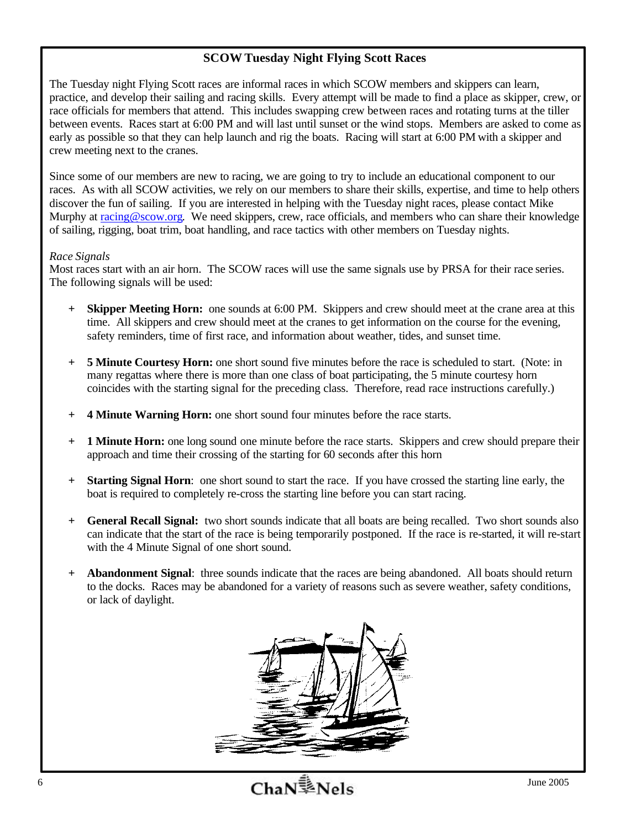## **SCOW Tuesday Night Flying Scott Races**

The Tuesday night Flying Scott races are informal races in which SCOW members and skippers can learn, practice, and develop their sailing and racing skills. Every attempt will be made to find a place as skipper, crew, or race officials for members that attend. This includes swapping crew between races and rotating turns at the tiller between events. Races start at 6:00 PM and will last until sunset or the wind stops. Members are asked to come as early as possible so that they can help launch and rig the boats. Racing will start at 6:00 PM with a skipper and crew meeting next to the cranes.

Since some of our members are new to racing, we are going to try to include an educational component to our races. As with all SCOW activities, we rely on our members to share their skills, expertise, and time to help others discover the fun of sailing. If you are interested in helping with the Tuesday night races, please contact Mike Murphy at racing@scow.org. We need skippers, crew, race officials, and members who can share their knowledge of sailing, rigging, boat trim, boat handling, and race tactics with other members on Tuesday nights.

#### *Race Signals*

Most races start with an air horn. The SCOW races will use the same signals use by PRSA for their race series. The following signals will be used:

- **+ Skipper Meeting Horn:** one sounds at 6:00 PM. Skippers and crew should meet at the crane area at this time. All skippers and crew should meet at the cranes to get information on the course for the evening, safety reminders, time of first race, and information about weather, tides, and sunset time.
- **+ 5 Minute Courtesy Horn:** one short sound five minutes before the race is scheduled to start. (Note: in many regattas where there is more than one class of boat participating, the 5 minute courtesy horn coincides with the starting signal for the preceding class. Therefore, read race instructions carefully.)
- **+ 4 Minute Warning Horn:** one short sound four minutes before the race starts.
- **+ 1 Minute Horn:** one long sound one minute before the race starts. Skippers and crew should prepare their approach and time their crossing of the starting for 60 seconds after this horn
- **+ Starting Signal Horn**: one short sound to start the race. If you have crossed the starting line early, the boat is required to completely re-cross the starting line before you can start racing.
- **+ General Recall Signal:** two short sounds indicate that all boats are being recalled. Two short sounds also can indicate that the start of the race is being temporarily postponed. If the race is re-started, it will re-start with the 4 Minute Signal of one short sound.
- **+ Abandonment Signal**: three sounds indicate that the races are being abandoned. All boats should return to the docks. Races may be abandoned for a variety of reasons such as severe weather, safety conditions, or lack of daylight.

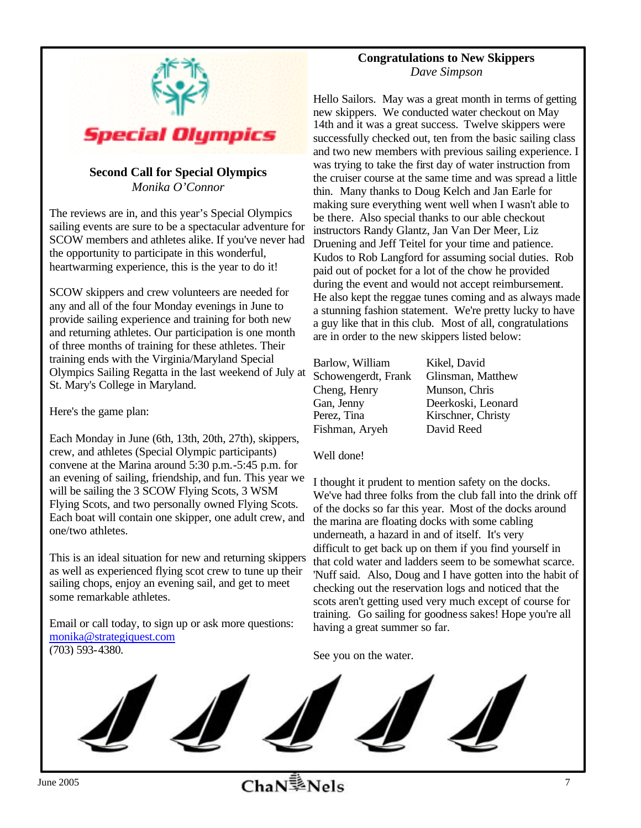

## **Second Call for Special Olympics** *Monika O'Connor*

The reviews are in, and this year's Special Olympics sailing events are sure to be a spectacular adventure for SCOW members and athletes alike. If you've never had the opportunity to participate in this wonderful, heartwarming experience, this is the year to do it!

SCOW skippers and crew volunteers are needed for any and all of the four Monday evenings in June to provide sailing experience and training for both new and returning athletes. Our participation is one month of three months of training for these athletes. Their training ends with the Virginia/Maryland Special Olympics Sailing Regatta in the last weekend of July at St. Mary's College in Maryland.

Here's the game plan:

Each Monday in June (6th, 13th, 20th, 27th), skippers, crew, and athletes (Special Olympic participants) convene at the Marina around 5:30 p.m.-5:45 p.m. for an evening of sailing, friendship, and fun. This year we will be sailing the 3 SCOW Flying Scots, 3 WSM Flying Scots, and two personally owned Flying Scots. Each boat will contain one skipper, one adult crew, and one/two athletes.

This is an ideal situation for new and returning skippers as well as experienced flying scot crew to tune up their sailing chops, enjoy an evening sail, and get to meet some remarkable athletes.

Email or call today, to sign up or ask more questions: monika@strategiquest.com (703) 593-4380.

### **Congratulations to New Skippers** *Dave Simpson*

Hello Sailors. May was a great month in terms of getting new skippers. We conducted water checkout on May 14th and it was a great success. Twelve skippers were successfully checked out, ten from the basic sailing class and two new members with previous sailing experience. I was trying to take the first day of water instruction from the cruiser course at the same time and was spread a little thin. Many thanks to Doug Kelch and Jan Earle for making sure everything went well when I wasn't able to be there. Also special thanks to our able checkout instructors Randy Glantz, Jan Van Der Meer, Liz Druening and Jeff Teitel for your time and patience. Kudos to Rob Langford for assuming social duties. Rob paid out of pocket for a lot of the chow he provided during the event and would not accept reimbursement. He also kept the reggae tunes coming and as always made a stunning fashion statement. We're pretty lucky to have a guy like that in this club. Most of all, congratulations are in order to the new skippers listed below:

| Barlow, William     |
|---------------------|
| Schowengerdt, Frank |
| Cheng, Henry        |
| Gan, Jenny          |
| Perez, Tina         |
| Fishman, Arveh      |

Kikel, David Glinsman, Matthew Munson, Chris Deerkoski, Leonard Kirschner, Christy David Reed

Well done!

I thought it prudent to mention safety on the docks. We've had three folks from the club fall into the drink off of the docks so far this year. Most of the docks around the marina are floating docks with some cabling underneath, a hazard in and of itself. It's very difficult to get back up on them if you find yourself in that cold water and ladders seem to be somewhat scarce. 'Nuff said. Also, Doug and I have gotten into the habit of checking out the reservation logs and noticed that the scots aren't getting used very much except of course for training. Go sailing for goodness sakes! Hope you're all having a great summer so far.

See you on the water.

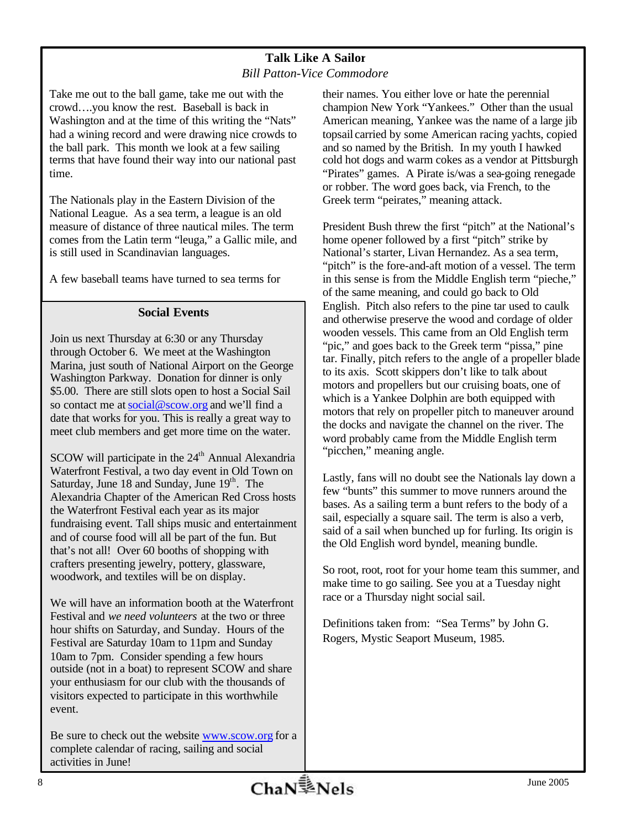### **Talk Like A Sailor** *Bill Patton-Vice Commodore*

Take me out to the ball game, take me out with the crowd….you know the rest. Baseball is back in Washington and at the time of this writing the "Nats" had a wining record and were drawing nice crowds to the ball park. This month we look at a few sailing terms that have found their way into our national past time.

The Nationals play in the Eastern Division of the National League. As a sea term, a league is an old measure of distance of three nautical miles. The term comes from the Latin term "leuga," a Gallic mile, and is still used in Scandinavian languages.

A few baseball teams have turned to sea terms for

## **Social Events**

Join us next Thursday at 6:30 or any Thursday through October 6. We meet at the Washington Marina, just south of National Airport on the George Washington Parkway. Donation for dinner is only \$5.00. There are still slots open to host a Social Sail so contact me at social@scow.org and we'll find a date that works for you. This is really a great way to meet club members and get more time on the water.

SCOW will participate in the  $24<sup>th</sup>$  Annual Alexandria Waterfront Festival, a two day event in Old Town on Saturday, June  $18$  and Sunday, June  $19<sup>th</sup>$ . The Alexandria Chapter of the American Red Cross hosts the Waterfront Festival each year as its major fundraising event. Tall ships music and entertainment and of course food will all be part of the fun. But that's not all! Over 60 booths of shopping with crafters presenting jewelry, pottery, glassware, woodwork, and textiles will be on display.

We will have an information booth at the Waterfront Festival and *we need volunteers* at the two or three hour shifts on Saturday, and Sunday. Hours of the Festival are Saturday 10am to 11pm and Sunday 10am to 7pm. Consider spending a few hours outside (not in a boat) to represent SCOW and share your enthusiasm for our club with the thousands of visitors expected to participate in this worthwhile event.

Be sure to check out the website www.scow.org for a complete calendar of racing, sailing and social activities in June!

their names. You either love or hate the perennial champion New York "Yankees." Other than the usual American meaning, Yankee was the name of a large jib topsail carried by some American racing yachts, copied and so named by the British. In my youth I hawked cold hot dogs and warm cokes as a vendor at Pittsburgh "Pirates" games. A Pirate is/was a sea-going renegade or robber. The word goes back, via French, to the Greek term "peirates," meaning attack.

President Bush threw the first "pitch" at the National's home opener followed by a first "pitch" strike by National's starter, Livan Hernandez. As a sea term, "pitch" is the fore-and-aft motion of a vessel. The term in this sense is from the Middle English term "pieche," of the same meaning, and could go back to Old English. Pitch also refers to the pine tar used to caulk and otherwise preserve the wood and cordage of older wooden vessels. This came from an Old English term "pic," and goes back to the Greek term "pissa," pine tar. Finally, pitch refers to the angle of a propeller blade to its axis. Scott skippers don't like to talk about motors and propellers but our cruising boats, one of which is a Yankee Dolphin are both equipped with motors that rely on propeller pitch to maneuver around the docks and navigate the channel on the river. The word probably came from the Middle English term "picchen," meaning angle.

Lastly, fans will no doubt see the Nationals lay down a few "bunts" this summer to move runners around the bases. As a sailing term a bunt refers to the body of a sail, especially a square sail. The term is also a verb, said of a sail when bunched up for furling. Its origin is the Old English word byndel, meaning bundle.

So root, root, root for your home team this summer, and make time to go sailing. See you at a Tuesday night race or a Thursday night social sail.

Definitions taken from: "Sea Terms" by John G. Rogers, Mystic Seaport Museum, 1985.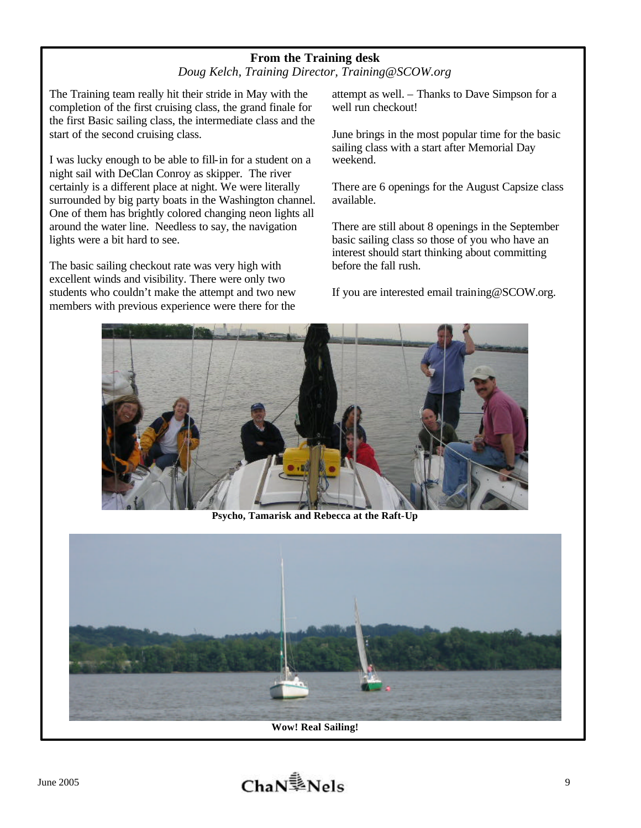# **From the Training desk** *Doug Kelch, Training Director, Training@SCOW.org*

The Training team really hit their stride in May with the completion of the first cruising class, the grand finale for the first Basic sailing class, the intermediate class and the start of the second cruising class.

I was lucky enough to be able to fill-in for a student on a night sail with DeClan Conroy as skipper. The river certainly is a different place at night. We were literally surrounded by big party boats in the Washington channel. One of them has brightly colored changing neon lights all around the water line. Needless to say, the navigation lights were a bit hard to see.

The basic sailing checkout rate was very high with excellent winds and visibility. There were only two students who couldn't make the attempt and two new members with previous experience were there for the attempt as well. – Thanks to Dave Simpson for a well run checkout!

June brings in the most popular time for the basic sailing class with a start after Memorial Day weekend.

There are 6 openings for the August Capsize class available.

There are still about 8 openings in the September basic sailing class so those of you who have an interest should start thinking about committing before the fall rush.

If you are interested email training@SCOW.org.



**Psycho, Tamarisk and Rebecca at the Raft-Up**